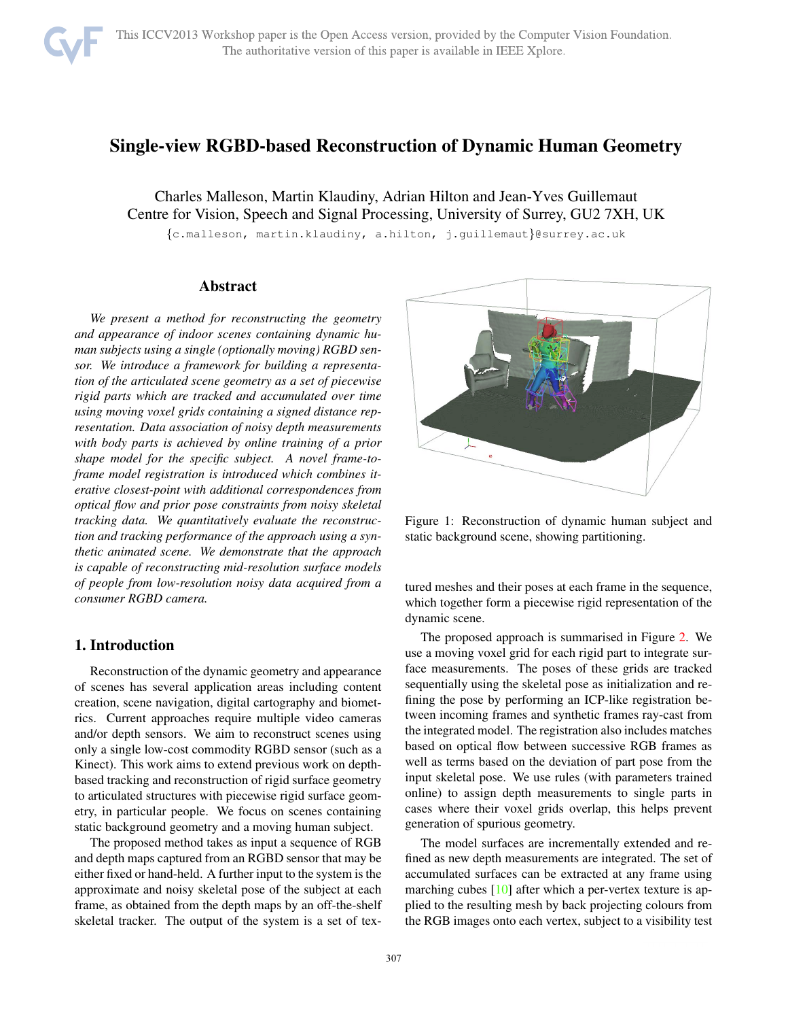

# Single-view RGBD-based Reconstruction of Dynamic Human Geometry

Charles Malleson, Martin Klaudiny, Adrian Hilton and Jean-Yves Guillemaut Centre for Vision, Speech and Signal Processing, University of Surrey, GU2 7XH, UK

{c.malleson, martin.klaudiny, a.hilton, j.guillemaut}@surrey.ac.uk

# **Abstract**

*We present a method for reconstructing the geometry and appearance of indoor scenes containing dynamic human subjects using a single (optionally moving) RGBD sensor. We introduce a framework for building a representation of the articulated scene geometry as a set of piecewise rigid parts which are tracked and accumulated over time using moving voxel grids containing a signed distance representation. Data association of noisy depth measurements with body parts is achieved by online training of a prior shape model for the specific subject. A novel frame-toframe model registration is introduced which combines iterative closest-point with additional correspondences from optical flow and prior pose constraints from noisy skeletal tracking data. We quantitatively evaluate the reconstruction and tracking performance of the approach using a synthetic animated scene. We demonstrate that the approach is capable of reconstructing mid-resolution surface models of people from low-resolution noisy data acquired from a consumer RGBD camera.*

### 1. Introduction

Reconstruction of the dynamic geometry and appearance of scenes has several application areas including content creation, scene navigation, digital cartography and biometrics. Current approaches require multiple video cameras and/or depth sensors. We aim to reconstruct scenes using only a single low-cost commodity RGBD sensor (such as a Kinect). This work aims to extend previous work on depthbased tracking and reconstruction of rigid surface geometry to articulated structures with piecewise rigid surface geometry, in particular people. We focus on scenes containing static background geometry and a moving human subject.

The proposed method takes as input a sequence of RGB and depth maps captured from an RGBD sensor that may be either fixed or hand-held. A further input to the system is the approximate and noisy skeletal pose of the subject at each frame, as obtained from the depth maps by an off-the-shelf skeletal tracker. The output of the system is a set of tex-



Figure 1: Reconstruction of dynamic human subject and static background scene, showing partitioning.

tured meshes and their poses at each frame in the sequence, which together form a piecewise rigid representation of the dynamic scene.

The proposed approach is summarised in Figure 2. We use a moving voxel grid for each rigid part to integrate surface measurements. The poses of these grids are tracked sequentially using the skeletal pose as initialization and refining the pose by performing an ICP-like registration between incoming frames and synthetic frames ray-cast from the integrated model. The registration also includes matches based on optical flow between successive RGB frames as well as terms based on the deviation of part pose from the input skeletal pose. We use rules (with parameters trained online) to assign depth measurements to single parts in cases where their voxel grids overlap, this helps prevent generation of spurious geometry.

The model surfaces are incrementally extended and refined as new depth measurements are integrated. The set of accumulated surfaces can be extracted at any frame using marching cubes [10] after which a per-vertex texture is applied to the resulting mesh by back projecting colours from the RGB images onto each vertex, subject to a visibility test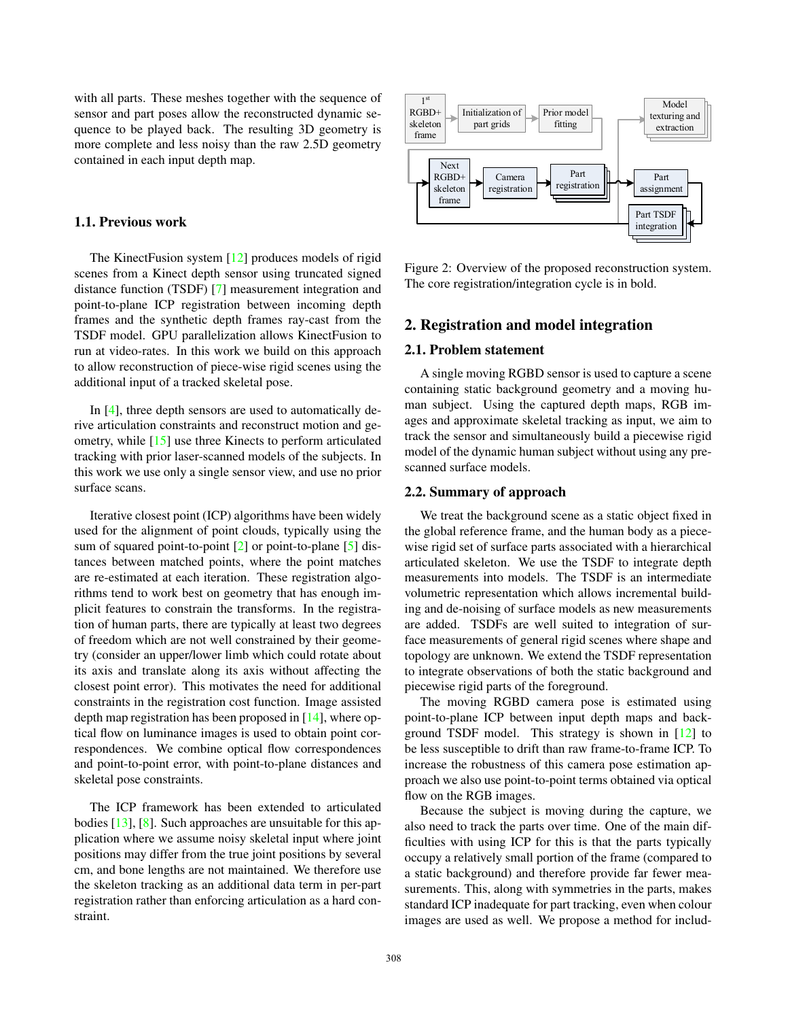with all parts. These meshes together with the sequence of sensor and part poses allow the reconstructed dynamic sequence to be played back. The resulting 3D geometry is more complete and less noisy than the raw 2.5D geometry contained in each input depth map.

## 1.1. Previous work

The KinectFusion system [12] produces models of rigid scenes from a Kinect depth sensor using truncated signed distance function (TSDF) [7] measurement integration and point-to-plane ICP registration between incoming depth frames and the synthetic depth frames ray-cast from the TSDF model. GPU parallelization allows KinectFusion to run at video-rates. In this work we build on this approach to allow reconstruction of piece-wise rigid scenes using the additional input of a tracked skeletal pose.

In [4], three depth sensors are used to automatically derive articulation constraints and reconstruct motion and geometry, while [15] use three Kinects to perform articulated tracking with prior laser-scanned models of the subjects. In this work we use only a single sensor view, and use no prior surface scans.

Iterative closest point (ICP) algorithms have been widely used for the alignment of point clouds, typically using the sum of squared point-to-point [2] or point-to-plane [5] distances between matched points, where the point matches are re-estimated at each iteration. These registration algorithms tend to work best on geometry that has enough implicit features to constrain the transforms. In the registration of human parts, there are typically at least two degrees of freedom which are not well constrained by their geometry (consider an upper/lower limb which could rotate about its axis and translate along its axis without affecting the closest point error). This motivates the need for additional constraints in the registration cost function. Image assisted depth map registration has been proposed in [14], where optical flow on luminance images is used to obtain point correspondences. We combine optical flow correspondences and point-to-point error, with point-to-plane distances and skeletal pose constraints.

The ICP framework has been extended to articulated bodies [13], [8]. Such approaches are unsuitable for this application where we assume noisy skeletal input where joint positions may differ from the true joint positions by several cm, and bone lengths are not maintained. We therefore use the skeleton tracking as an additional data term in per-part registration rather than enforcing articulation as a hard constraint.



Figure 2: Overview of the proposed reconstruction system. The core registration/integration cycle is in bold.

# 2. Registration and model integration

#### 2.1. Problem statement

A single moving RGBD sensor is used to capture a scene containing static background geometry and a moving human subject. Using the captured depth maps, RGB images and approximate skeletal tracking as input, we aim to track the sensor and simultaneously build a piecewise rigid model of the dynamic human subject without using any prescanned surface models.

### 2.2. Summary of approach

We treat the background scene as a static object fixed in the global reference frame, and the human body as a piecewise rigid set of surface parts associated with a hierarchical articulated skeleton. We use the TSDF to integrate depth measurements into models. The TSDF is an intermediate volumetric representation which allows incremental building and de-noising of surface models as new measurements are added. TSDFs are well suited to integration of surface measurements of general rigid scenes where shape and topology are unknown. We extend the TSDF representation to integrate observations of both the static background and piecewise rigid parts of the foreground.

The moving RGBD camera pose is estimated using point-to-plane ICP between input depth maps and background TSDF model. This strategy is shown in [12] to be less susceptible to drift than raw frame-to-frame ICP. To increase the robustness of this camera pose estimation approach we also use point-to-point terms obtained via optical flow on the RGB images.

Because the subject is moving during the capture, we also need to track the parts over time. One of the main difficulties with using ICP for this is that the parts typically occupy a relatively small portion of the frame (compared to a static background) and therefore provide far fewer measurements. This, along with symmetries in the parts, makes standard ICP inadequate for part tracking, even when colour images are used as well. We propose a method for includ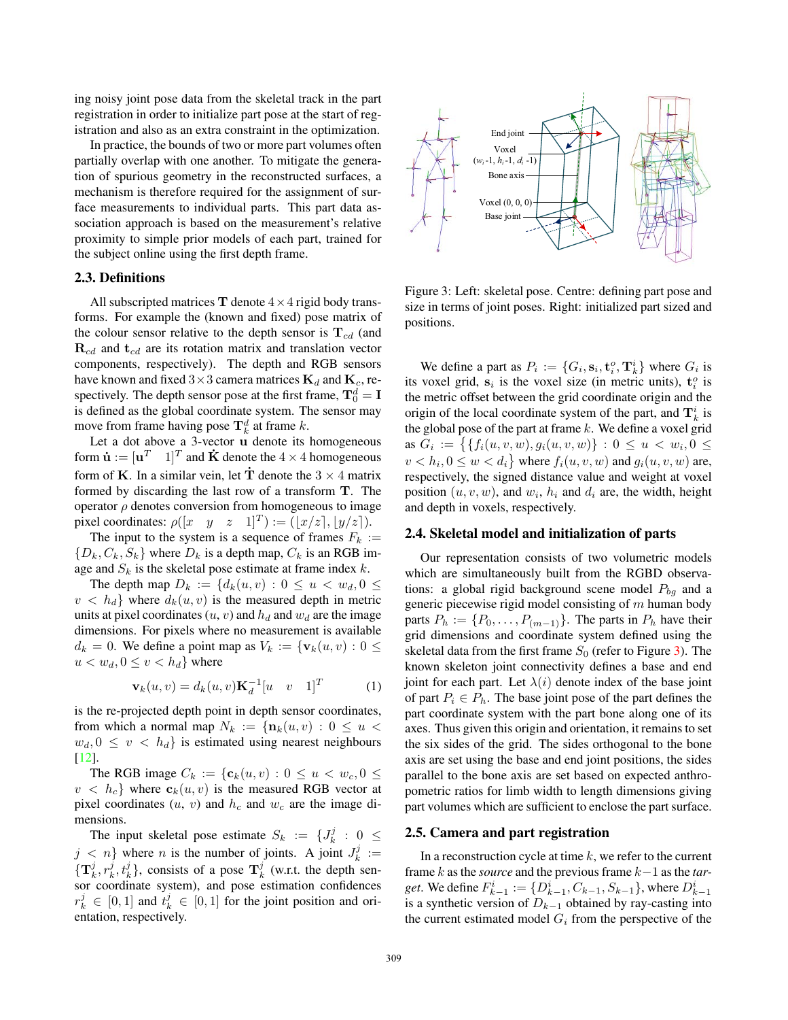ing noisy joint pose data from the skeletal track in the part registration in order to initialize part pose at the start of registration and also as an extra constraint in the optimization.

In practice, the bounds of two or more part volumes often partially overlap with one another. To mitigate the generation of spurious geometry in the reconstructed surfaces, a mechanism is therefore required for the assignment of surface measurements to individual parts. This part data association approach is based on the measurement's relative proximity to simple prior models of each part, trained for the subject online using the first depth frame.

### 2.3. Definitions

All subscripted matrices **T** denote  $4 \times 4$  rigid body transforms. For example the (known and fixed) pose matrix of the colour sensor relative to the depth sensor is  $T_{cd}$  (and  $\mathbf{R}_{cd}$  and  $\mathbf{t}_{cd}$  are its rotation matrix and translation vector components, respectively). The depth and RGB sensors have known and fixed  $3 \times 3$  camera matrices  $\mathbf{K}_d$  and  $\mathbf{K}_c$ , respectively. The depth sensor pose at the first frame,  $\mathbf{T}_0^d = \mathbf{I}$ <br>is defined as the global coordinate system. The sensor may is defined as the global coordinate system. The sensor may move from frame having pose  $\mathbf{T}_k^d$  at frame k.

Let a dot above a 3-vector **u** denote its homogeneous form  $\mathbf{u} := [\mathbf{u}^T \quad 1]^T$  and  $\mathbf{K}$  denote the  $4 \times 4$  homogeneous form of **K**. In a similar vein, let  $\dot{T}$  denote the  $3 \times 4$  matrix formed by discarding the last row of a transform **T**. The operator  $ρ$  denotes conversion from homogeneous to image pixel coordinates:  $\rho([x \ y \ z \ 1]^T) := (|x/z|, |y/z|).$ <br>The input to the system is a sequence of frames  $F_1$ .

The input to the system is a sequence of frames  $F_k :=$  ${D_k, C_k, S_k}$  where  $D_k$  is a depth map,  $C_k$  is an RGB image and  $S_k$  is the skeletal pose estimate at frame index k.

The depth map  $D_k := \{d_k(u,v): 0 \le u < w_d, 0 \le v \}$  $v < h_d$  where  $d_k(u, v)$  is the measured depth in metric units at pixel coordinates  $(u, v)$  and  $h_d$  and  $w_d$  are the image dimensions. For pixels where no measurement is available  $d_k = 0$ . We define a point map as  $V_k := \{ \mathbf{v}_k(u, v) : 0 \leq$  $u < w_d, 0 \le v < h_d$  where

$$
\mathbf{v}_k(u,v) = d_k(u,v) \mathbf{K}_d^{-1} [u \quad v \quad 1]^T \tag{1}
$$

is the re-projected depth point in depth sensor coordinates, from which a normal map  $N_k := \{n_k(u, v): 0 \le u$  $w_d, 0 \le v < h_d$  is estimated using nearest neighbours [12].

The RGB image  $C_k := \{c_k(u, v): 0 \le u < w_c, 0 \le v$  $v < h_c$  where  $c_k(u, v)$  is the measured RGB vector at pixel coordinates  $(u, v)$  and  $h_c$  and  $w_c$  are the image dimensions.

The input skeletal pose estimate  $S_k := \{J_k^j : 0 \leq k \}$  where  $n$  is the number of joints. A joint  $I_j^j$ .  $j < n$ } where *n* is the number of joints. A joint  $J_k^j :=$ <br> $\left(\mathbf{T}^j, n^j, t^j\right)$  consists of a ness  $\mathbf{T}^j$  (with the dath can  ${\bf T}_k^j, r_k^j, t_k^j$ , consists of a pose  ${\bf T}_k^j$  (w.r.t. the depth sensor coordinate system), and pose estimation confidences  $r_k^j \in [0,1]$  and  $t_k^j \in [0,1]$  for the joint position and ori-<br>entation respectively entation, respectively.



Figure 3: Left: skeletal pose. Centre: defining part pose and size in terms of joint poses. Right: initialized part sized and positions.

We define a part as  $P_i := \{G_i, \mathbf{s}_i, \mathbf{t}_i^o, \mathbf{T}_k^i\}$  where  $G_i$  is voyel give  $f_i$  is voyel size (in metric units)  $f_i^o$  is its voxel grid,  $s_i$  is the voxel size (in metric units),  $t_i^o$  is the metric offset between the grid coordinate origin and the origin of the local coordinate system of the part, and  $\mathbf{T}_k^i$  is the global pose of the part at frame  $k$ . We define a voxel grid as  $G_i := \{ \{ f_i(u, v, w), g_i(u, v, w) \} : 0 \le u < w_i, 0 \le u \le h, 0 \le w \le d, \}$  where  $f_i(u, v, w)$  and  $g_i(u, v, w)$  are  $v < h_i, 0 \le w < d_i$  where  $f_i(u, v, w)$  and  $g_i(u, v, w)$  are,<br>respectively the signed distance value and weight at voyel respectively, the signed distance value and weight at voxel position  $(u, v, w)$ , and  $w_i$ ,  $h_i$  and  $d_i$  are, the width, height and depth in voxels, respectively.

#### 2.4. Skeletal model and initialization of parts

Our representation consists of two volumetric models which are simultaneously built from the RGBD observations: a global rigid background scene model  $P_{ba}$  and a generic piecewise rigid model consisting of  $m$  human body parts  $P_h := \{P_0, \ldots, P_{(m-1)}\}.$  The parts in  $P_h$  have their grid dimensions and coordinate system defined using the skeletal data from the first frame  $S_0$  (refer to Figure 3). The known skeleton joint connectivity defines a base and end joint for each part. Let  $\lambda(i)$  denote index of the base joint of part  $P_i \in P_h$ . The base joint pose of the part defines the part coordinate system with the part bone along one of its axes. Thus given this origin and orientation, it remains to set the six sides of the grid. The sides orthogonal to the bone axis are set using the base and end joint positions, the sides parallel to the bone axis are set based on expected anthropometric ratios for limb width to length dimensions giving part volumes which are sufficient to enclose the part surface.

#### 2.5. Camera and part registration

In a reconstruction cycle at time  $k$ , we refer to the current frame <sup>k</sup> as the *source* and the previous frame <sup>k</sup>−1 as the *target*. We define  $F_{k-1}^i := \{D_{k-1}^i, C_{k-1}, S_{k-1}\}\)$ , where  $D_{k-1}^i$ <br>is a synthetic version of  $D_{k-1}$  obtained by ray-casting into is a synthetic version of  $D_{k-1}$  obtained by ray-casting into the current estimated model  $G_i$  from the perspective of the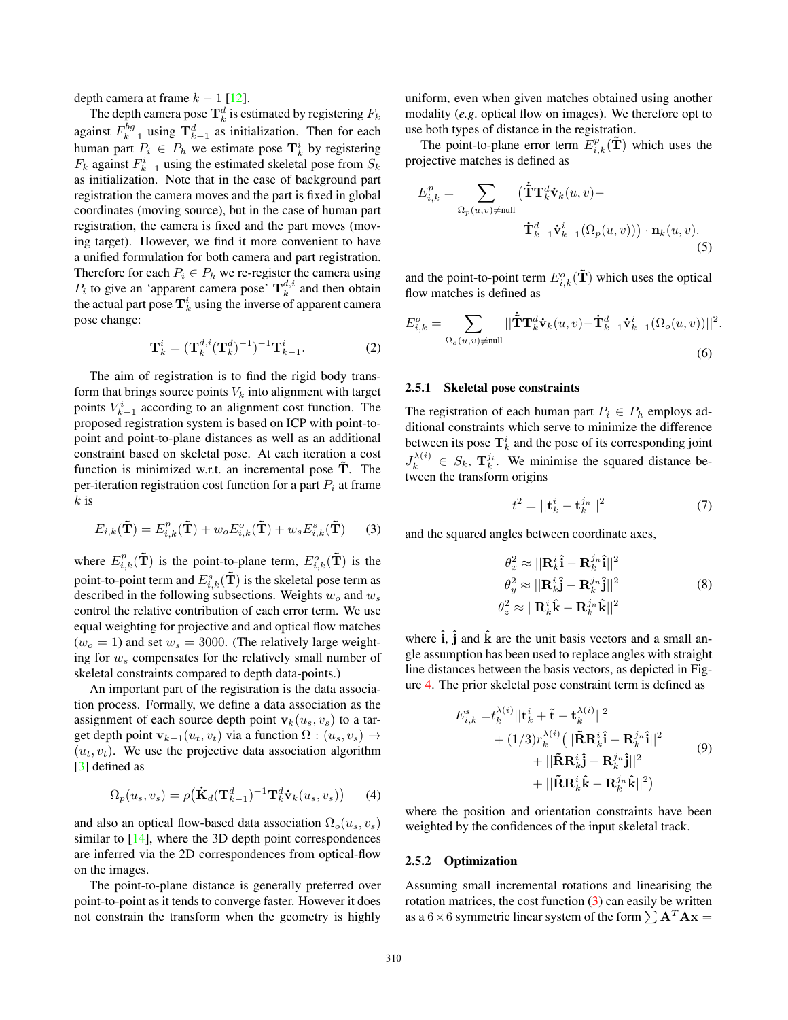depth camera at frame  $k - 1$  [12].

The depth camera pose  $\mathbf{T}_k^d$  is estimated by registering  $F_k$ against  $F_{k-1}^{bg}$  using  $\mathbf{T}_{k-1}^{d}$  as initialization. Then for each human part  $P_i \in P_h$  we estimate pose  $\mathbf{T}_k^i$  by registering  $F_k$  against  $F_{k-1}^i$  using the estimated skeletal pose from  $S_k$ as initialization. Note that in the case of background part registration the camera moves and the part is fixed in global coordinates (moving source), but in the case of human part registration, the camera is fixed and the part moves (moving target). However, we find it more convenient to have a unified formulation for both camera and part registration. Therefore for each  $P_i \in P_h$  we re-register the camera using  $P_i$  to give an 'apparent camera pose'  $\mathbf{T}_k^{d,i}$  and then obtain the actual part pose  $\mathbf{T}_k^i$  using the inverse of apparent camera pose change:

$$
\mathbf{T}_{k}^{i} = (\mathbf{T}_{k}^{d,i} (\mathbf{T}_{k}^{d})^{-1})^{-1} \mathbf{T}_{k-1}^{i}.
$$
 (2)

The aim of registration is to find the rigid body transform that brings source points  $V_k$  into alignment with target points  $V_{k-1}^i$  according to an alignment cost function. The proposed registration system is based on ICP with point-topoint and point-to-plane distances as well as an additional constraint based on skeletal pose. At each iteration a cost function is minimized w.r.t. an incremental pose **T**. The per-iteration registration cost function for a part  $P_i$  at frame  $k$  is

$$
E_{i,k}(\tilde{\mathbf{T}}) = E_{i,k}^p(\tilde{\mathbf{T}}) + w_o E_{i,k}^o(\tilde{\mathbf{T}}) + w_s E_{i,k}^s(\tilde{\mathbf{T}})
$$
 (3)

where  $E_{i,k}^p(\tilde{\mathbf{T}})$  is the point-to-plane term,  $E_{i,k}^o(\tilde{\mathbf{T}})$  is the point-to-point term and  $E_{i,k}^s(\tilde{\mathbf{T}})$  is the skeletal pose term as described in the following subsections. Weights we and we described in the following subsections. Weights  $w<sub>o</sub>$  and  $w<sub>s</sub>$ control the relative contribution of each error term. We use equal weighting for projective and and optical flow matches  $(w<sub>o</sub> = 1)$  and set  $w<sub>s</sub> = 3000$ . (The relatively large weighting for  $w_s$  compensates for the relatively small number of skeletal constraints compared to depth data-points.)

An important part of the registration is the data association process. Formally, we define a data association as the assignment of each source depth point  $\mathbf{v}_k(u_s, v_s)$  to a target depth point  $\mathbf{v}_{k-1}(u_t, v_t)$  via a function  $\Omega: (u_s, v_s) \rightarrow$  $(u_t, v_t)$ . We use the projective data association algorithm [3] defined as

$$
\Omega_p(u_s, v_s) = \rho \left( \dot{\mathbf{K}}_d (\mathbf{T}_{k-1}^d)^{-1} \mathbf{T}_k^d \dot{\mathbf{v}}_k(u_s, v_s) \right)
$$
(4)

and also an optical flow-based data association  $\Omega_o(u_s, v_s)$ similar to [14], where the 3D depth point correspondences are inferred via the 2D correspondences from optical-flow on the images.

The point-to-plane distance is generally preferred over point-to-point as it tends to converge faster. However it does not constrain the transform when the geometry is highly

uniform, even when given matches obtained using another modality (*e.g*. optical flow on images). We therefore opt to use both types of distance in the registration.

The point-to-plane error term  $E_{i,k}^p(\tilde{\mathbf{T}})$  which uses the viertive matches is defined as projective matches is defined as

$$
E_{i,k}^{p} = \sum_{\Omega_{p}(u,v)\neq\text{null}} (\mathbf{\dot{\tilde{T}}T}_{k}^{d} \mathbf{\dot{v}}_{k}(u,v) - \mathbf{\dot{\tilde{T}}}_{k-1}^{d} \mathbf{\dot{\tilde{v}}}_{k-1}^{i} (\Omega_{p}(u,v))) \cdot \mathbf{n}_{k}(u,v).
$$
\n(5)

and the point-to-point term  $E_{i,k}^o(\tilde{\mathbf{T}})$  which uses the optical flow matches is defined as flow matches is defined as

$$
E_{i,k}^o = \sum_{\Omega_o(u,v)\neq \text{null}} ||\mathbf{\dot{\tilde{T}}} \mathbf{T}_k^d \mathbf{\dot{v}}_k(u,v) - \mathbf{\dot{T}}_{k-1}^d \mathbf{\dot{v}}_{k-1}^i (\Omega_o(u,v))||^2.
$$
\n
$$
(6)
$$

### 2.5.1 Skeletal pose constraints

The registration of each human part  $P_i \in P_h$  employs additional constraints which serve to minimize the difference between its pose  $\mathbf{T}_k^i$  and the pose of its corresponding joint  $J_k^{\lambda(i)} \in S_k$ ,  $\mathbf{T}_k^{j_i}$ . We minimise the squared distance between the transform origins

$$
t^2 = ||\mathbf{t}_k^i - \mathbf{t}_k^{j_n}||^2
$$
 (7)

and the squared angles between coordinate axes,

$$
\theta_x^2 \approx ||\mathbf{R}_k^i \hat{\mathbf{i}} - \mathbf{R}_k^{j_n} \hat{\mathbf{i}}||^2
$$
  
\n
$$
\theta_y^2 \approx ||\mathbf{R}_k^i \hat{\mathbf{j}} - \mathbf{R}_k^{j_n} \hat{\mathbf{j}}||^2
$$
  
\n
$$
\theta_z^2 \approx ||\mathbf{R}_k^i \hat{\mathbf{k}} - \mathbf{R}_k^{j_n} \hat{\mathbf{k}}||^2
$$
\n(8)

where  $\hat{i}$ ,  $\hat{j}$  and  $\hat{k}$  are the unit basis vectors and a small angle assumption has been used to replace angles with straight line distances between the basis vectors, as depicted in Figure 4. The prior skeletal pose constraint term is defined as

$$
E_{i,k}^{s} = t_k^{\lambda(i)} ||\mathbf{t}_k^i + \tilde{\mathbf{t}} - \mathbf{t}_k^{\lambda(i)}||^2
$$
  
+ 
$$
(1/3)r_k^{\lambda(i)}(||\tilde{\mathbf{R}}\mathbf{R}_k^i\hat{\mathbf{i}} - \mathbf{R}_k^{j_n}\hat{\mathbf{i}}||^2
$$
  
+ 
$$
||\tilde{\mathbf{R}}\mathbf{R}_k^i\hat{\mathbf{j}} - \mathbf{R}_k^{j_n}\hat{\mathbf{j}}||^2
$$
  
+ 
$$
||\tilde{\mathbf{R}}\mathbf{R}_k^i\hat{\mathbf{k}} - \mathbf{R}_k^{j_n}\hat{\mathbf{k}}||^2)
$$
 (9)

where the position and orientation constraints have been weighted by the confidences of the input skeletal track.

#### 2.5.2 Optimization

Assuming small incremental rotations and linearising the rotation matrices, the cost function (3) can easily be written as a  $6 \times 6$  symmetric linear system of the form  $\sum \mathbf{A}^T \mathbf{A} \mathbf{x} =$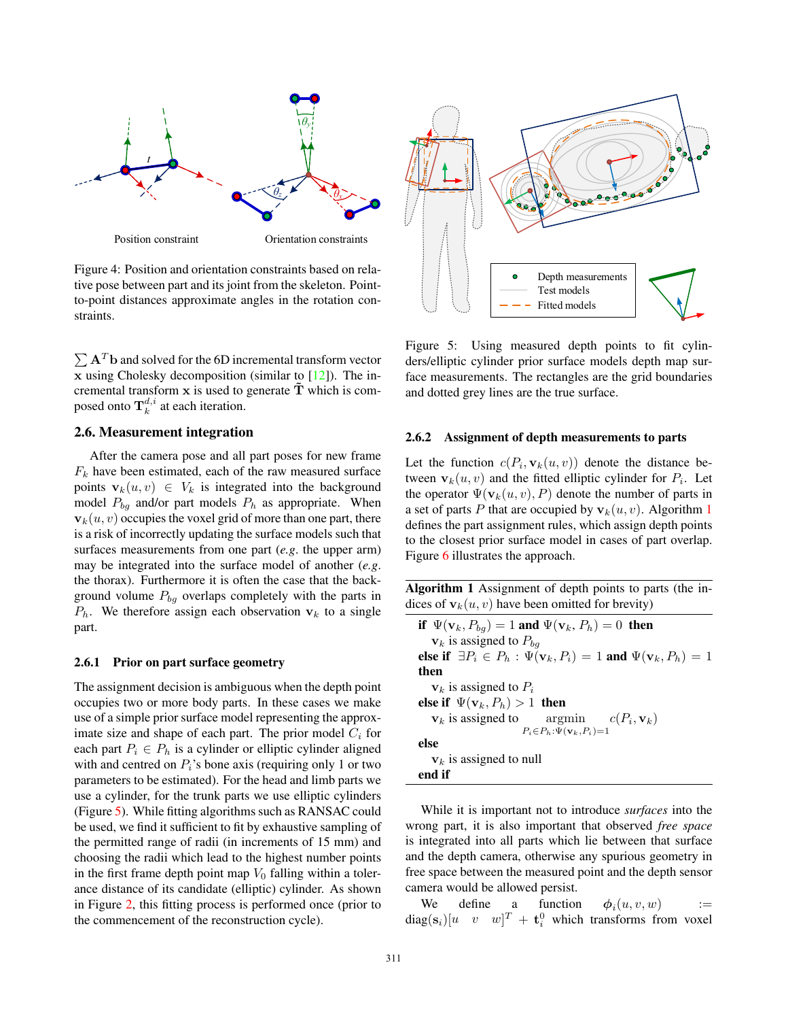

Figure 4: Position and orientation constraints based on relative pose between part and its joint from the skeleton. Pointto-point distances approximate angles in the rotation constraints.

 $\sum \mathbf{A}^T \mathbf{b}$  and solved for the 6D incremental transform vector **x** using Cholesky decomposition (similar to [12]). The incremental transform  $x$  is used to generate  $T$  which is composed onto  $\mathbf{T}_k^{d,i}$  at each iteration.

# 2.6. Measurement integration

After the camera pose and all part poses for new frame  $F_k$  have been estimated, each of the raw measured surface points  $\mathbf{v}_k(u, v) \in V_k$  is integrated into the background model  $P_{bg}$  and/or part models  $P_h$  as appropriate. When  **occupies the voxel grid of more than one part, there** is a risk of incorrectly updating the surface models such that surfaces measurements from one part (*e.g*. the upper arm) may be integrated into the surface model of another (*e.g*. the thorax). Furthermore it is often the case that the background volume  $P_{bq}$  overlaps completely with the parts in  $P_h$ . We therefore assign each observation  $v_k$  to a single part.

#### 2.6.1 Prior on part surface geometry

The assignment decision is ambiguous when the depth point occupies two or more body parts. In these cases we make use of a simple prior surface model representing the approximate size and shape of each part. The prior model  $C_i$  for each part  $P_i \in P_h$  is a cylinder or elliptic cylinder aligned with and centred on  $P_i$ 's bone axis (requiring only 1 or two parameters to be estimated). For the head and limb parts we use a cylinder, for the trunk parts we use elliptic cylinders (Figure 5). While fitting algorithms such as RANSAC could be used, we find it sufficient to fit by exhaustive sampling of the permitted range of radii (in increments of 15 mm) and choosing the radii which lead to the highest number points in the first frame depth point map  $V_0$  falling within a tolerance distance of its candidate (elliptic) cylinder. As shown in Figure 2, this fitting process is performed once (prior to the commencement of the reconstruction cycle).



Figure 5: Using measured depth points to fit cylinders/elliptic cylinder prior surface models depth map surface measurements. The rectangles are the grid boundaries and dotted grey lines are the true surface.

#### 2.6.2 Assignment of depth measurements to parts

Let the function  $c(P_i, \mathbf{v}_k(u, v))$  denote the distance between  $\mathbf{v}_k(u, v)$  and the fitted elliptic cylinder for  $P_i$ . Let the operator  $\Psi(\mathbf{v}_k(u, v), P)$  denote the number of parts in a set of parts P that are occupied by  $v_k(u, v)$ . Algorithm 1 defines the part assignment rules, which assign depth points to the closest prior surface model in cases of part overlap. Figure 6 illustrates the approach.

Algorithm 1 Assignment of depth points to parts (the indices of  $\mathbf{v}_k(u, v)$  have been omitted for brevity)

| if $\Psi(\mathbf{v}_k, P_{bq}) = 1$ and $\Psi(\mathbf{v}_k, P_h) = 0$ then                    |
|-----------------------------------------------------------------------------------------------|
| $\mathbf{v}_k$ is assigned to $P_{ba}$                                                        |
| else if $\exists P_i \in P_h : \Psi(\mathbf{v}_k, P_i) = 1$ and $\Psi(\mathbf{v}_k, P_h) = 1$ |
| then                                                                                          |
| $v_k$ is assigned to $P_i$                                                                    |
| else if $\Psi(\mathbf{v}_k, P_h) > 1$ then                                                    |
| $\mathbf{v}_k$ is assigned to argmin $c(P_i, \mathbf{v}_k)$                                   |
| $P_i \in P_h$ : $\Psi(\mathbf{v}_k, P_i) = 1$                                                 |
| else                                                                                          |
| $v_k$ is assigned to null                                                                     |
| end if                                                                                        |

While it is important not to introduce *surfaces* into the wrong part, it is also important that observed *free space* is integrated into all parts which lie between that surface and the depth camera, otherwise any spurious geometry in free space between the measured point and the depth sensor camera would be allowed persist.

We define a function  $\phi_i(u, v, w) :=$ <br> $g(s_i)[u, v, w]^T + t^0$  which transforms from yovel  $diag(s_i)[u \quad v \quad w]^T + \mathbf{t}_i^0$  which transforms from voxel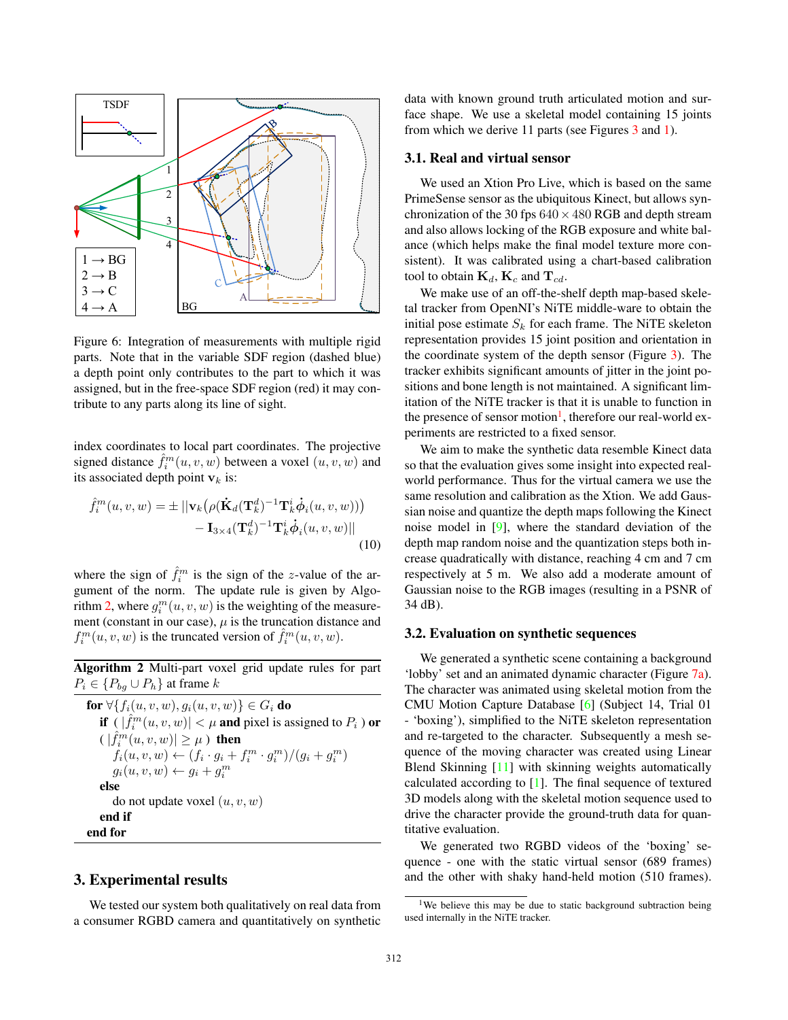

Figure 6: Integration of measurements with multiple rigid parts. Note that in the variable SDF region (dashed blue) a depth point only contributes to the part to which it was assigned, but in the free-space SDF region (red) it may contribute to any parts along its line of sight.

index coordinates to local part coordinates. The projective signed distance  $\hat{f}_i^m(u, v, w)$  between a voxel  $(u, v, w)$  and its associated denth point  $\bf{v}_i$ , is: its associated depth point  $v_k$  is:

$$
\hat{f}_i^m(u, v, w) = \pm ||\mathbf{v}_k \big(\rho (\dot{\mathbf{K}}_d(\mathbf{T}_k^d)^{-1} \mathbf{T}_k^i \dot{\phi}_i(u, v, w))\big) \n- \mathbf{I}_{3\times 4}(\mathbf{T}_k^d)^{-1} \mathbf{T}_k^i \dot{\phi}_i(u, v, w)||
$$
\n(10)

where the sign of  $\hat{f}_i^m$  is the sign of the z-value of the argument of the norm. The update rule is given by Algorithm 2, where  $g_i^m(u, v, w)$  is the weighting of the measure-<br>ment (constant in our case), u is the truncation distance and ment (constant in our case),  $\mu$  is the truncation distance and  $f_i^m(u, v, w)$  is the truncated version of  $\hat{f}_i^m(u, v, w)$ .

Algorithm 2 Multi-part voxel grid update rules for part  $P_i \in \{P_{bg} \cup P_h\}$  at frame k

for  $\forall \{f_i(u, v, w), g_i(u, v, w)\}\in G_i$  do<br>if  $\left(\int \hat{f}^m(u, v, w) \right) \leq u$  and pixel is a **if**  $(|\hat{f}_i^m(u, v, w)| < \mu$  and pixel is assigned to  $P_i$ ) or  $(|\hat{f}^m_i(u,v,w)| \geq \mu)$  then  $\lim_{i} (u, v, w)| \ge \mu$ ) then<br> $\lim_{t \to (u, v, w)} \leftarrow (f, g) +$  $f_i(u, v, w) \leftarrow (f_i \cdot g_i + f_i^m \cdot g_i^m) / (g_i + g_i^m)$ <br> $g_i(u, v, w) \leftarrow g_i + g_i^m$  $g_i(u, v, w) \leftarrow g_i + g_i^m$ else do not update voxel  $(u, v, w)$ end if end for

# 3. Experimental results

We tested our system both qualitatively on real data from a consumer RGBD camera and quantitatively on synthetic

data with known ground truth articulated motion and surface shape. We use a skeletal model containing 15 joints from which we derive 11 parts (see Figures 3 and 1).

### 3.1. Real and virtual sensor

We used an Xtion Pro Live, which is based on the same PrimeSense sensor as the ubiquitous Kinect, but allows synchronization of the 30 fps  $640 \times 480$  RGB and depth stream and also allows locking of the RGB exposure and white balance (which helps make the final model texture more consistent). It was calibrated using a chart-based calibration tool to obtain  $\mathbf{K}_d$ ,  $\mathbf{K}_c$  and  $\mathbf{T}_{cd}$ .

We make use of an off-the-shelf depth map-based skeletal tracker from OpenNI's NiTE middle-ware to obtain the initial pose estimate  $S_k$  for each frame. The NiTE skeleton representation provides 15 joint position and orientation in the coordinate system of the depth sensor (Figure 3). The tracker exhibits significant amounts of jitter in the joint positions and bone length is not maintained. A significant limitation of the NiTE tracker is that it is unable to function in the presence of sensor motion<sup>1</sup>, therefore our real-world experiments are restricted to a fixed sensor.

We aim to make the synthetic data resemble Kinect data so that the evaluation gives some insight into expected realworld performance. Thus for the virtual camera we use the same resolution and calibration as the Xtion. We add Gaussian noise and quantize the depth maps following the Kinect noise model in [9], where the standard deviation of the depth map random noise and the quantization steps both increase quadratically with distance, reaching 4 cm and 7 cm respectively at 5 m. We also add a moderate amount of Gaussian noise to the RGB images (resulting in a PSNR of 34 dB).

### 3.2. Evaluation on synthetic sequences

We generated a synthetic scene containing a background 'lobby' set and an animated dynamic character (Figure 7a). The character was animated using skeletal motion from the CMU Motion Capture Database [6] (Subject 14, Trial 01 - 'boxing'), simplified to the NiTE skeleton representation and re-targeted to the character. Subsequently a mesh sequence of the moving character was created using Linear Blend Skinning [11] with skinning weights automatically calculated according to [1]. The final sequence of textured 3D models along with the skeletal motion sequence used to drive the character provide the ground-truth data for quantitative evaluation.

We generated two RGBD videos of the 'boxing' sequence - one with the static virtual sensor (689 frames) and the other with shaky hand-held motion (510 frames).

<sup>&</sup>lt;sup>1</sup>We believe this may be due to static background subtraction being used internally in the NiTE tracker.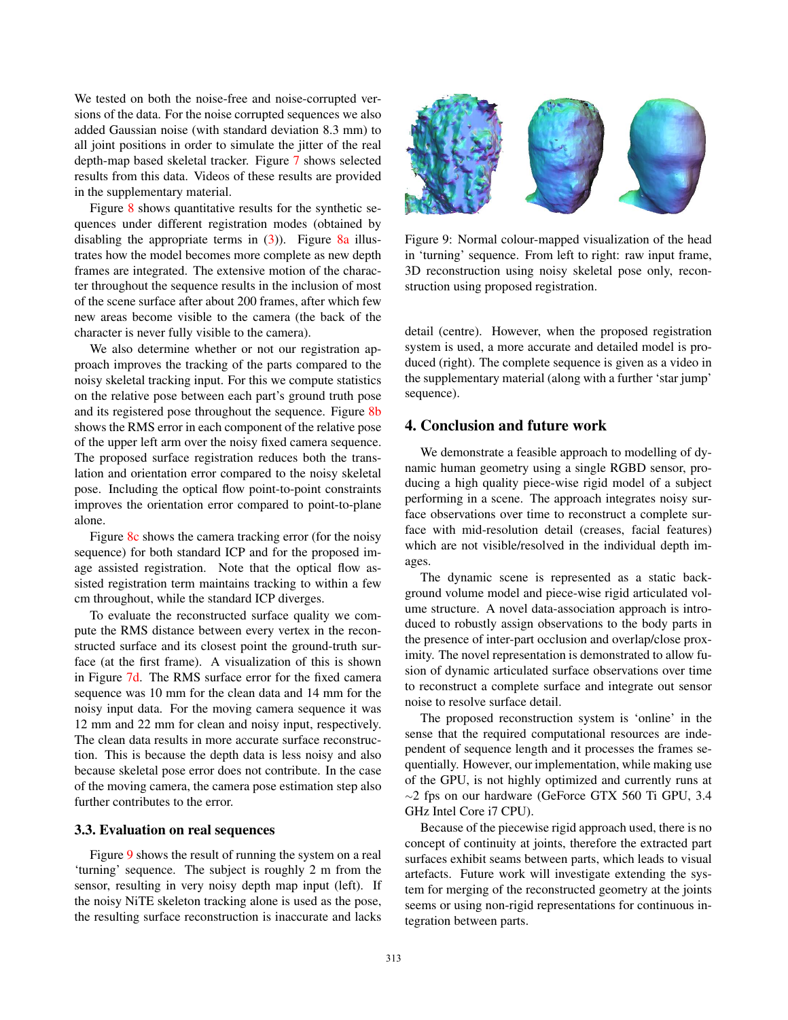We tested on both the noise-free and noise-corrupted versions of the data. For the noise corrupted sequences we also added Gaussian noise (with standard deviation 8.3 mm) to all joint positions in order to simulate the jitter of the real depth-map based skeletal tracker. Figure 7 shows selected results from this data. Videos of these results are provided in the supplementary material.

Figure 8 shows quantitative results for the synthetic sequences under different registration modes (obtained by disabling the appropriate terms in  $(3)$ ). Figure 8a illustrates how the model becomes more complete as new depth frames are integrated. The extensive motion of the character throughout the sequence results in the inclusion of most of the scene surface after about 200 frames, after which few new areas become visible to the camera (the back of the character is never fully visible to the camera).

We also determine whether or not our registration approach improves the tracking of the parts compared to the noisy skeletal tracking input. For this we compute statistics on the relative pose between each part's ground truth pose and its registered pose throughout the sequence. Figure 8b shows the RMS error in each component of the relative pose of the upper left arm over the noisy fixed camera sequence. The proposed surface registration reduces both the translation and orientation error compared to the noisy skeletal pose. Including the optical flow point-to-point constraints improves the orientation error compared to point-to-plane alone.

Figure 8c shows the camera tracking error (for the noisy sequence) for both standard ICP and for the proposed image assisted registration. Note that the optical flow assisted registration term maintains tracking to within a few cm throughout, while the standard ICP diverges.

To evaluate the reconstructed surface quality we compute the RMS distance between every vertex in the reconstructed surface and its closest point the ground-truth surface (at the first frame). A visualization of this is shown in Figure 7d. The RMS surface error for the fixed camera sequence was 10 mm for the clean data and 14 mm for the noisy input data. For the moving camera sequence it was 12 mm and 22 mm for clean and noisy input, respectively. The clean data results in more accurate surface reconstruction. This is because the depth data is less noisy and also because skeletal pose error does not contribute. In the case of the moving camera, the camera pose estimation step also further contributes to the error.

### 3.3. Evaluation on real sequences

Figure 9 shows the result of running the system on a real 'turning' sequence. The subject is roughly 2 m from the sensor, resulting in very noisy depth map input (left). If the noisy NiTE skeleton tracking alone is used as the pose, the resulting surface reconstruction is inaccurate and lacks



Figure 9: Normal colour-mapped visualization of the head in 'turning' sequence. From left to right: raw input frame, 3D reconstruction using noisy skeletal pose only, reconstruction using proposed registration.

detail (centre). However, when the proposed registration system is used, a more accurate and detailed model is produced (right). The complete sequence is given as a video in the supplementary material (along with a further 'star jump' sequence).

# 4. Conclusion and future work

We demonstrate a feasible approach to modelling of dynamic human geometry using a single RGBD sensor, producing a high quality piece-wise rigid model of a subject performing in a scene. The approach integrates noisy surface observations over time to reconstruct a complete surface with mid-resolution detail (creases, facial features) which are not visible/resolved in the individual depth images.

The dynamic scene is represented as a static background volume model and piece-wise rigid articulated volume structure. A novel data-association approach is introduced to robustly assign observations to the body parts in the presence of inter-part occlusion and overlap/close proximity. The novel representation is demonstrated to allow fusion of dynamic articulated surface observations over time to reconstruct a complete surface and integrate out sensor noise to resolve surface detail.

The proposed reconstruction system is 'online' in the sense that the required computational resources are independent of sequence length and it processes the frames sequentially. However, our implementation, while making use of the GPU, is not highly optimized and currently runs at <sup>∼</sup>2 fps on our hardware (GeForce GTX 560 Ti GPU, 3.4 GHz Intel Core i7 CPU).

Because of the piecewise rigid approach used, there is no concept of continuity at joints, therefore the extracted part surfaces exhibit seams between parts, which leads to visual artefacts. Future work will investigate extending the system for merging of the reconstructed geometry at the joints seems or using non-rigid representations for continuous integration between parts.